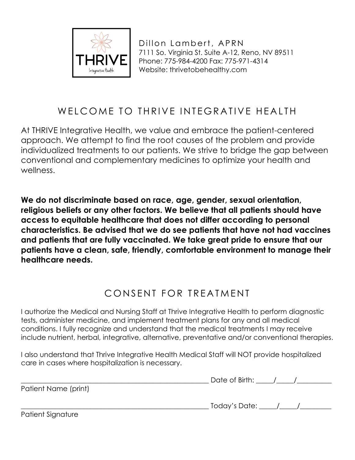

## WELCOME TO THRIVE INTEGRATIVE HEALTH

At THRIVE Integrative Health, we value and embrace the patient-centered approach. We attempt to find the root causes of the problem and provide individualized treatments to our patients. We strive to bridge the gap between conventional and complementary medicines to optimize your health and wellness.

**We do not discriminate based on race, age, gender, sexual orientation, religious beliefs or any other factors. We believe that all patients should have access to equitable healthcare that does not differ according to personal characteristics. Be advised that we do see patients that have not had vaccines and patients that are fully vaccinated. We take great pride to ensure that our patients have a clean, safe, friendly, comfortable environment to manage their healthcare needs.**

## CONSENT FOR TREATMENT

I authorize the Medical and Nursing Staff at Thrive Integrative Health to perform diagnostic tests, administer medicine, and implement treatment plans for any and all medical conditions. I fully recognize and understand that the medical treatments I may receive include nutrient, herbal, integrative, alternative, preventative and/or conventional therapies.

I also understand that Thrive Integrative Health Medical Staff will NOT provide hospitalized care in cases where hospitalization is necessary.

|                      | Date of Birth: |  |
|----------------------|----------------|--|
| Patient Name (print) |                |  |
|                      |                |  |

 $\Delta$  Today's Date:  $\angle$  /  $\angle$  /

Patient Signature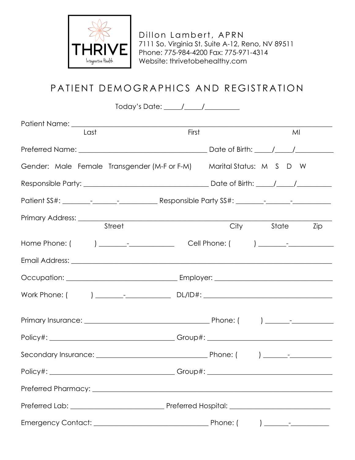

# PATIENT DEMOGRAPHICS AND REGISTRATION

|                                                                                         | Today's Date: _____/_____/__________ |                                     |     |
|-----------------------------------------------------------------------------------------|--------------------------------------|-------------------------------------|-----|
|                                                                                         |                                      |                                     |     |
| Last                                                                                    | First                                | MI                                  |     |
|                                                                                         |                                      | Date of Birth: $\frac{1}{\sqrt{2}}$ |     |
| Gender: Male Female Transgender(M-ForF-M)                                               |                                      | Marital Status: M S D W             |     |
|                                                                                         |                                      |                                     |     |
|                                                                                         |                                      |                                     |     |
| Street                                                                                  |                                      | City State                          | Zip |
| Home Phone: (   ) _______-_________________________Cell Phone: (   ) ________-_________ |                                      |                                     |     |
|                                                                                         |                                      |                                     |     |
|                                                                                         |                                      |                                     |     |
| Work Phone: ( ) ________________________________DL/ID#: ________________________        |                                      |                                     |     |
|                                                                                         |                                      |                                     |     |
| Policy#: ___________________________________Group#: ____________________________        |                                      |                                     |     |
|                                                                                         |                                      |                                     |     |
|                                                                                         |                                      |                                     |     |
|                                                                                         |                                      |                                     |     |
|                                                                                         |                                      |                                     |     |
|                                                                                         |                                      |                                     |     |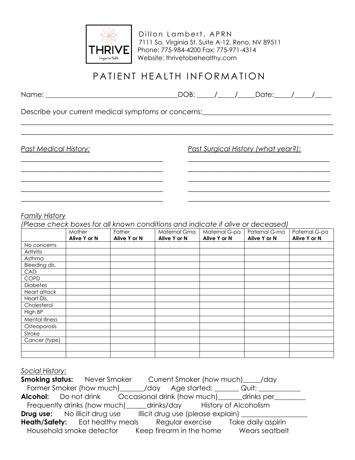

### PATIENT HEALTH INFORMATION

\_\_\_\_\_\_\_\_\_\_\_\_\_\_\_\_\_\_\_\_\_\_\_\_\_\_\_\_\_\_\_\_\_\_\_\_\_\_\_\_\_\_\_\_\_\_\_\_\_\_\_\_\_\_\_\_\_\_\_\_\_\_\_\_\_\_\_\_\_\_\_\_\_\_\_\_\_ \_\_\_\_\_\_\_\_\_\_\_\_\_\_\_\_\_\_\_\_\_\_\_\_\_\_\_\_\_\_\_\_\_\_\_\_\_\_\_\_\_\_\_\_\_\_\_\_\_\_\_\_\_\_\_\_\_\_\_\_\_\_\_\_\_\_\_\_\_\_\_\_\_\_\_\_\_

\_\_\_\_\_\_\_\_\_\_\_\_\_\_\_\_\_\_\_\_\_\_\_\_\_\_\_\_\_\_\_\_\_\_\_ \_\_\_\_\_\_\_\_\_\_\_\_\_\_\_\_\_\_\_\_\_\_\_\_\_\_\_\_\_\_\_\_\_\_\_ \_\_\_\_\_\_\_\_\_\_\_\_\_\_\_\_\_\_\_\_\_\_\_\_\_\_\_\_\_\_\_\_\_\_\_ \_\_\_\_\_\_\_\_\_\_\_\_\_\_\_\_\_\_\_\_\_\_\_\_\_\_\_\_\_\_\_\_\_\_\_ \_\_\_\_\_\_\_\_\_\_\_\_\_\_\_\_\_\_\_\_\_\_\_\_\_\_\_\_\_\_\_\_\_\_\_ \_\_\_\_\_\_\_\_\_\_\_\_\_\_\_\_\_\_\_\_\_\_\_\_\_\_\_\_\_\_\_\_\_\_\_ \_\_\_\_\_\_\_\_\_\_\_\_\_\_\_\_\_\_\_\_\_\_\_\_\_\_\_\_\_\_\_\_\_\_\_ \_\_\_\_\_\_\_\_\_\_\_\_\_\_\_\_\_\_\_\_\_\_\_\_\_\_\_\_\_\_\_\_\_\_\_ \_\_\_\_\_\_\_\_\_\_\_\_\_\_\_\_\_\_\_\_\_\_\_\_\_\_\_\_\_\_\_\_\_\_\_ \_\_\_\_\_\_\_\_\_\_\_\_\_\_\_\_\_\_\_\_\_\_\_\_\_\_\_\_\_\_\_\_\_\_\_

Name: \_\_\_\_\_\_\_\_\_\_\_\_\_\_\_\_\_\_\_\_\_\_\_\_\_\_\_\_\_\_\_\_\_\_\_\_\_\_DOB: \_\_\_\_\_/\_\_\_\_\_/\_\_\_\_\_Date:\_\_\_\_\_/\_\_\_\_\_/\_\_\_\_\_

Describe your current medical symptoms or concerns:\_\_\_\_\_\_\_\_\_\_\_\_\_\_\_\_\_\_\_\_\_\_\_\_\_\_\_\_\_

*Past Medical History: Past Surgical History (what year?):*

#### *Family History*

*(Please check boxes for all known conditions and indicate if alive or deceased)*

|                 | Mother       | Father       | Maternal Gma | Maternal G-pa | Paternal G-ma | Paternal G-pa |
|-----------------|--------------|--------------|--------------|---------------|---------------|---------------|
|                 | Alive Y or N | Alive Y or N | Alive Y or N | Alive Y or N  | Alive Y or N  | Alive Y or N  |
| No concerns     |              |              |              |               |               |               |
| Arthritis       |              |              |              |               |               |               |
| Asthma          |              |              |              |               |               |               |
| Bleeding dis.   |              |              |              |               |               |               |
| CAD             |              |              |              |               |               |               |
| <b>COPD</b>     |              |              |              |               |               |               |
| <b>Diabetes</b> |              |              |              |               |               |               |
| Heart attack    |              |              |              |               |               |               |
| Heart Dis.      |              |              |              |               |               |               |
| Cholesterol     |              |              |              |               |               |               |
| High BP         |              |              |              |               |               |               |
| Mental Illness  |              |              |              |               |               |               |
| Osteoporosis    |              |              |              |               |               |               |
| Stroke          |              |              |              |               |               |               |
| Cancer (type)   |              |              |              |               |               |               |
|                 |              |              |              |               |               |               |
|                 |              |              |              |               |               |               |

### *Social History:*

|                                                                               | <b>Smoking status:</b> Never Smoker Current Smoker (how much) ______ /day       |  |  |  |
|-------------------------------------------------------------------------------|---------------------------------------------------------------------------------|--|--|--|
| Former Smoker (how much) _______ /day __ Age started: ________ Quit: ________ |                                                                                 |  |  |  |
|                                                                               | <b>Alcohol:</b> Do not drink Cccasional drink (how much)______drinks per_______ |  |  |  |
|                                                                               | Frequently drinks (how much)_____drinks/day History of Alcoholism               |  |  |  |
|                                                                               | <b>Drug use:</b> No illicit drug use Illicit drug use (please explain)          |  |  |  |
|                                                                               | <b>Heath/Safety:</b> Eat healthy meals Regular exercise Take daily aspirin      |  |  |  |
|                                                                               | Household smoke detector Keep firearm in the home Wears seatbelt                |  |  |  |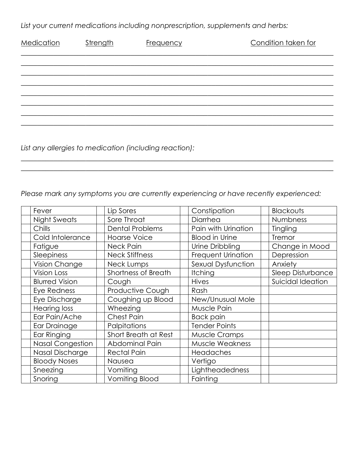*List your current medications including nonprescription, supplements and herbs:*

| Medication | Strength | <b>Frequency</b> | Condition taken for |
|------------|----------|------------------|---------------------|
|            |          |                  |                     |
|            |          |                  |                     |
|            |          |                  |                     |
|            |          |                  |                     |
|            |          |                  |                     |
|            |          |                  |                     |
|            |          |                  |                     |

*List any allergies to medication (including reaction):*

*Please mark any symptoms you are currently experiencing or have recently experienced:*

\_\_\_\_\_\_\_\_\_\_\_\_\_\_\_\_\_\_\_\_\_\_\_\_\_\_\_\_\_\_\_\_\_\_\_\_\_\_\_\_\_\_\_\_\_\_\_\_\_\_\_\_\_\_\_\_\_\_\_\_\_\_\_\_\_\_\_\_\_\_\_\_\_\_\_\_\_ \_\_\_\_\_\_\_\_\_\_\_\_\_\_\_\_\_\_\_\_\_\_\_\_\_\_\_\_\_\_\_\_\_\_\_\_\_\_\_\_\_\_\_\_\_\_\_\_\_\_\_\_\_\_\_\_\_\_\_\_\_\_\_\_\_\_\_\_\_\_\_\_\_\_\_\_\_

| Fever                   | Lip Sores              | Constipation           | Blackouts                |
|-------------------------|------------------------|------------------------|--------------------------|
| <b>Night Sweats</b>     | Sore Throat            | Diarrhea               | Numbness                 |
| Chills                  | <b>Dental Problems</b> | Pain with Urination    | Tingling                 |
| Cold Intolerance        | <b>Hoarse Voice</b>    | <b>Blood in Urine</b>  | Tremor                   |
| Fatigue                 | Neck Pain              | Urine Dribbling        | Change in Mood           |
| Sleepiness              | <b>Neck Stiffness</b>  | Frequent Urination     | Depression               |
| Vision Change           | Neck Lumps             | Sexual Dysfunction     | Anxiety                  |
| <b>Vision Loss</b>      | Shortness of Breath    | <b>Itching</b>         | <b>Sleep Disturbance</b> |
| <b>Blurred Vision</b>   | Cough                  | <b>Hives</b>           | Suicidal Ideation        |
| Eye Redness             | Productive Cough       | Rash                   |                          |
| Eye Discharge           | Coughing up Blood      | New/Unusual Mole       |                          |
| <b>Hearing loss</b>     | Wheezing               | Muscle Pain            |                          |
| Ear Pain/Ache           | <b>Chest Pain</b>      | <b>Back pain</b>       |                          |
| Ear Drainage            | Palpitations           | <b>Tender Points</b>   |                          |
| Ear Ringing             | Short Breath at Rest   | <b>Muscle Cramps</b>   |                          |
| <b>Nasal Congestion</b> | Abdominal Pain         | <b>Muscle Weakness</b> |                          |
| Nasal Discharge         | <b>Rectal Pain</b>     | Headaches              |                          |
| <b>Bloody Noses</b>     | Nausea                 | Vertigo                |                          |
| Sneezing                | Vomiting               | Lightheadedness        |                          |
| Snoring                 | Vomiting Blood         | Fainting               |                          |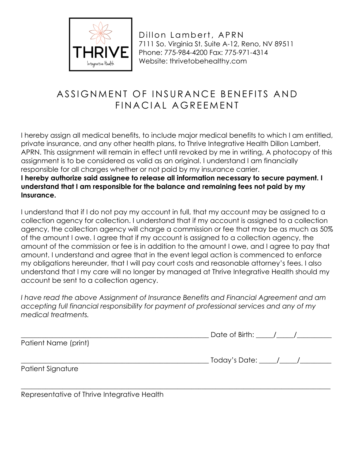

## ASSIGNMENT OF INSURANCE BENEFITS AND FINACIAL AGREEMENT

I hereby assign all medical benefits, to include major medical benefits to which I am entitled, private insurance, and any other health plans, to Thrive Integrative Health Dillon Lambert, APRN. This assignment will remain in effect until revoked by me in writing, A photocopy of this assignment is to be considered as valid as an original. I understand I am financially responsible for all charges whether or not paid by my insurance carrier.

**I hereby authorize said assignee to release all information necessary to secure payment. I understand that I am responsible for the balance and remaining fees not paid by my Insurance.**

I understand that if I do not pay my account in full, that my account may be assigned to a collection agency for collection. I understand that if my account is assigned to a collection agency, the collection agency will charge a commission or fee that may be as much as 50% of the amount I owe. I agree that if my account is assigned to a collection agency, the amount of the commission or fee is in addition to the amount I owe, and I agree to pay that amount. I understand and agree that in the event legal action is commenced to enforce my obligations hereunder, that I will pay court costs and reasonable attorney's fees. I also understand that I my care will no longer by managed at Thrive Integrative Health should my account be sent to a collection agency.

*I have read the above Assignment of Insurance Benefits and Financial Agreement and am accepting full financial responsibility for payment of professional services and any of my medical treatments.*

|                      | Date of Birth: $\frac{1}{\sqrt{2}}$ |
|----------------------|-------------------------------------|
| Patient Name (print) |                                     |
|                      | . Today's Date: _____/_____/        |
| Patient Signature    |                                     |
|                      |                                     |

Representative of Thrive Integrative Health